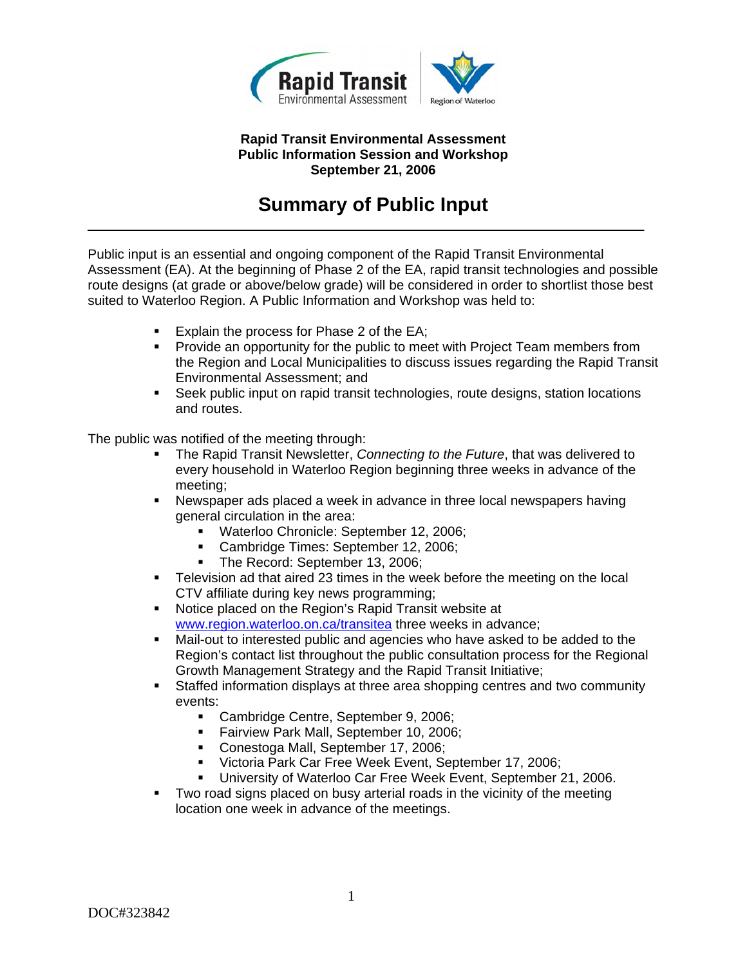

#### **Rapid Transit Environmental Assessment Public Information Session and Workshop September 21, 2006**

# **Summary of Public Input**

Public input is an essential and ongoing component of the Rapid Transit Environmental Assessment (EA). At the beginning of Phase 2 of the EA, rapid transit technologies and possible route designs (at grade or above/below grade) will be considered in order to shortlist those best suited to Waterloo Region. A Public Information and Workshop was held to:

- Explain the process for Phase 2 of the EA;
- Provide an opportunity for the public to meet with Project Team members from the Region and Local Municipalities to discuss issues regarding the Rapid Transit Environmental Assessment; and
- Seek public input on rapid transit technologies, route designs, station locations and routes.

The public was notified of the meeting through:

- The Rapid Transit Newsletter, *Connecting to the Future*, that was delivered to every household in Waterloo Region beginning three weeks in advance of the meeting;
- Newspaper ads placed a week in advance in three local newspapers having general circulation in the area:
	- Waterloo Chronicle: September 12, 2006;
	- Cambridge Times: September 12, 2006;
	- The Record: September 13, 2006;
- Television ad that aired 23 times in the week before the meeting on the local CTV affiliate during key news programming;
- Notice placed on the Region's Rapid Transit website at www.region.waterloo.on.ca/transitea three weeks in advance;
- Mail-out to interested public and agencies who have asked to be added to the Region's contact list throughout the public consultation process for the Regional Growth Management Strategy and the Rapid Transit Initiative;
- Staffed information displays at three area shopping centres and two community events:
	- Cambridge Centre, September 9, 2006;
	- **Fairview Park Mall, September 10, 2006;**
	- **Conestoga Mall, September 17, 2006;**
	- Victoria Park Car Free Week Event, September 17, 2006;
	- University of Waterloo Car Free Week Event, September 21, 2006.
- Two road signs placed on busy arterial roads in the vicinity of the meeting location one week in advance of the meetings.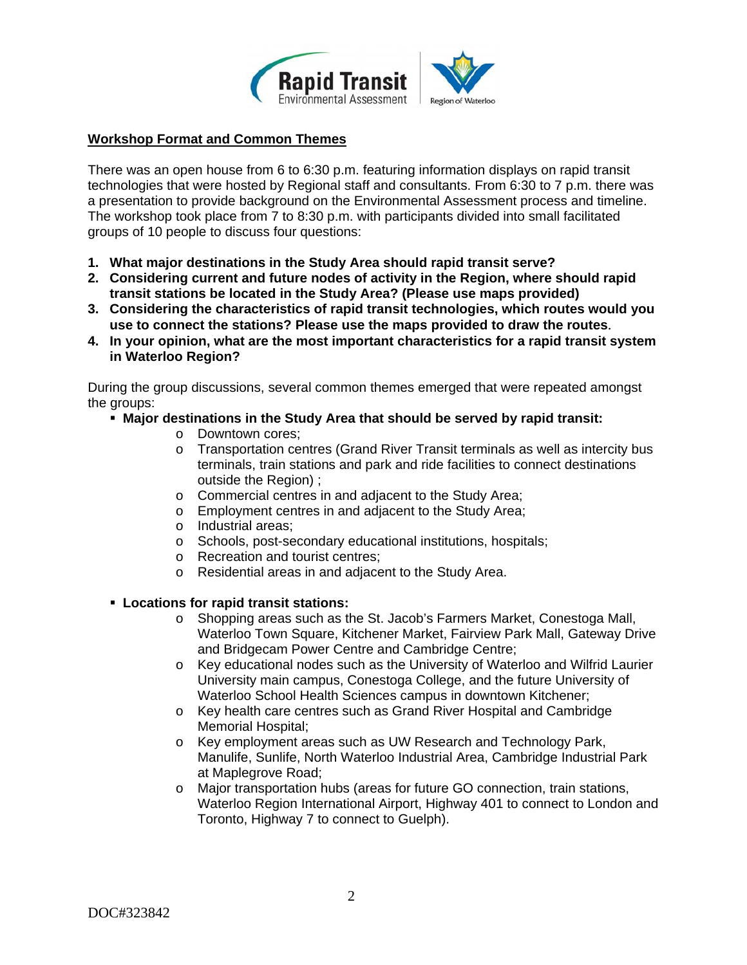

## **Workshop Format and Common Themes**

There was an open house from 6 to 6:30 p.m. featuring information displays on rapid transit technologies that were hosted by Regional staff and consultants. From 6:30 to 7 p.m. there was a presentation to provide background on the Environmental Assessment process and timeline. The workshop took place from 7 to 8:30 p.m. with participants divided into small facilitated groups of 10 people to discuss four questions:

- **1. What major destinations in the Study Area should rapid transit serve?**
- **2. Considering current and future nodes of activity in the Region, where should rapid transit stations be located in the Study Area? (Please use maps provided)**
- **3. Considering the characteristics of rapid transit technologies, which routes would you use to connect the stations? Please use the maps provided to draw the routes**.
- **4. In your opinion, what are the most important characteristics for a rapid transit system in Waterloo Region?**

During the group discussions, several common themes emerged that were repeated amongst the groups:

- **Major destinations in the Study Area that should be served by rapid transit:** 
	- o Downtown cores;
	- o Transportation centres (Grand River Transit terminals as well as intercity bus terminals, train stations and park and ride facilities to connect destinations outside the Region) ;
	- o Commercial centres in and adjacent to the Study Area;
	- o Employment centres in and adjacent to the Study Area;
	- o Industrial areas;
	- o Schools, post-secondary educational institutions, hospitals;
	- o Recreation and tourist centres;
	- o Residential areas in and adjacent to the Study Area.

#### **Locations for rapid transit stations:**

- o Shopping areas such as the St. Jacob's Farmers Market, Conestoga Mall, Waterloo Town Square, Kitchener Market, Fairview Park Mall, Gateway Drive and Bridgecam Power Centre and Cambridge Centre;
- o Key educational nodes such as the University of Waterloo and Wilfrid Laurier University main campus, Conestoga College, and the future University of Waterloo School Health Sciences campus in downtown Kitchener;
- o Key health care centres such as Grand River Hospital and Cambridge Memorial Hospital;
- o Key employment areas such as UW Research and Technology Park, Manulife, Sunlife, North Waterloo Industrial Area, Cambridge Industrial Park at Maplegrove Road;
- o Major transportation hubs (areas for future GO connection, train stations, Waterloo Region International Airport, Highway 401 to connect to London and Toronto, Highway 7 to connect to Guelph).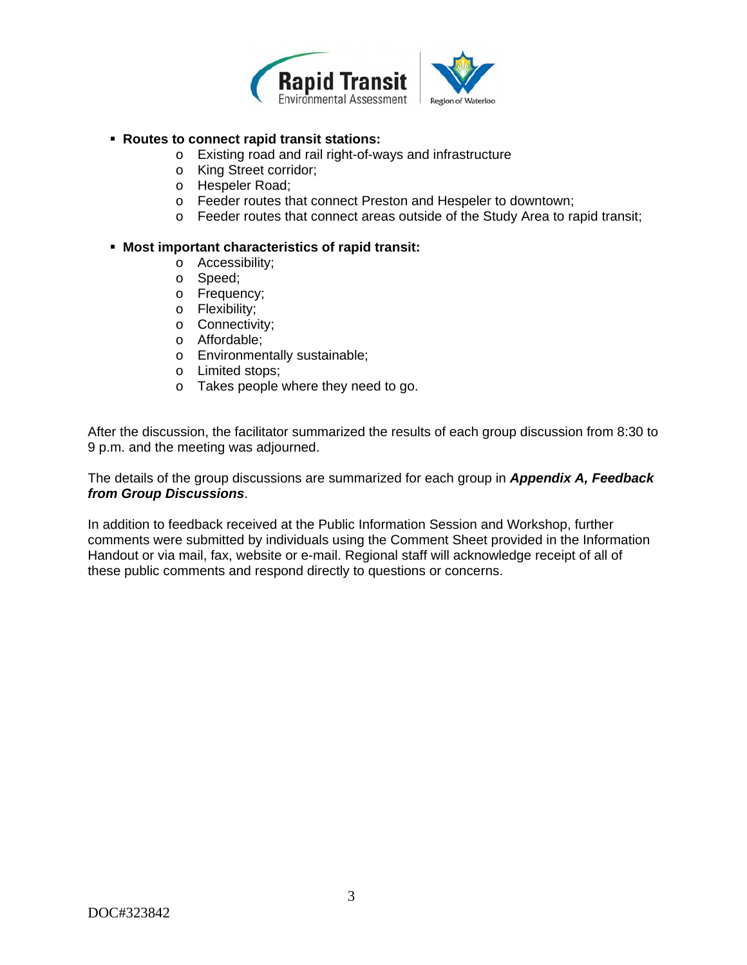

### **Routes to connect rapid transit stations:**

- o Existing road and rail right-of-ways and infrastructure
- o King Street corridor;
- o Hespeler Road;
- o Feeder routes that connect Preston and Hespeler to downtown;
- o Feeder routes that connect areas outside of the Study Area to rapid transit;

#### **Most important characteristics of rapid transit:**

- o Accessibility;
- o Speed;
- o Frequency;
- o Flexibility;
- o Connectivity;
- o Affordable;
- o Environmentally sustainable;
- o Limited stops;
- o Takes people where they need to go.

After the discussion, the facilitator summarized the results of each group discussion from 8:30 to 9 p.m. and the meeting was adjourned.

The details of the group discussions are summarized for each group in *Appendix A, Feedback from Group Discussions*.

In addition to feedback received at the Public Information Session and Workshop, further comments were submitted by individuals using the Comment Sheet provided in the Information Handout or via mail, fax, website or e-mail. Regional staff will acknowledge receipt of all of these public comments and respond directly to questions or concerns.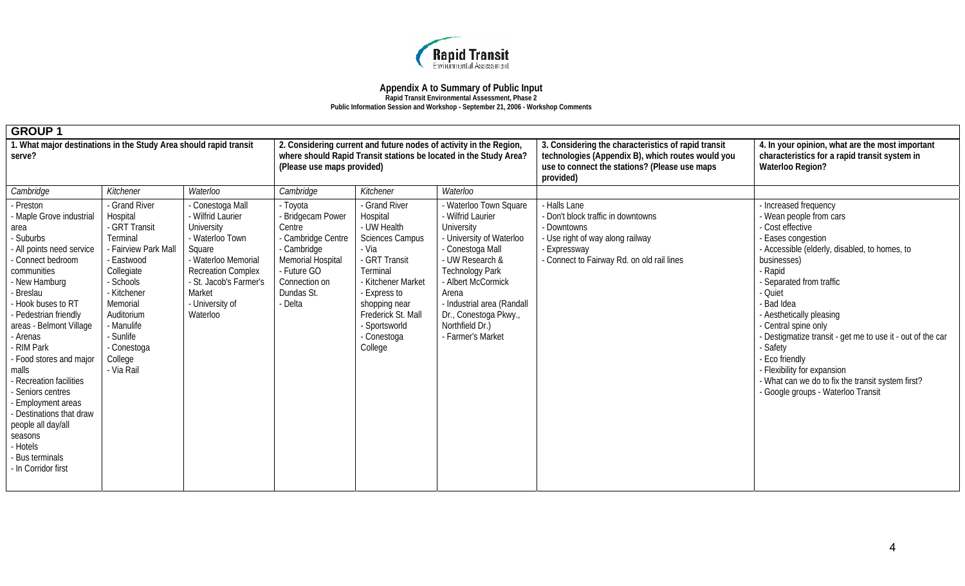

**Rapid Transit Environmental Assessment, Phase 2** 

**Public Information Session and Workshop - September 21, 2006 - Workshop Comments** 

| . What major destinations in the Study Area should rapid transit<br>2. Considering current and future nodes of activity in the Region,<br>where should Rapid Transit stations be located in the Study Area?<br>serve?<br>(Please use maps provided)                                                                                                                                                                                                                                                                                                                                                                                                                                                                                                                                                                                                                                                                                                                                                                                                                                                                                                                                                                                                                                                                                                                                                                                                                                                                                                                                                                       | 3. Considering the characteristics of rapid transit<br>technologies (Appendix B), which routes would you<br>use to connect the stations? (Please use maps<br>provided) | 4. In your opinion, what are the most important<br>characteristics for a rapid transit system in<br><b>Waterloo Region?</b>                                                                                                                                                                                                                                                                                                                                                                        |  |
|---------------------------------------------------------------------------------------------------------------------------------------------------------------------------------------------------------------------------------------------------------------------------------------------------------------------------------------------------------------------------------------------------------------------------------------------------------------------------------------------------------------------------------------------------------------------------------------------------------------------------------------------------------------------------------------------------------------------------------------------------------------------------------------------------------------------------------------------------------------------------------------------------------------------------------------------------------------------------------------------------------------------------------------------------------------------------------------------------------------------------------------------------------------------------------------------------------------------------------------------------------------------------------------------------------------------------------------------------------------------------------------------------------------------------------------------------------------------------------------------------------------------------------------------------------------------------------------------------------------------------|------------------------------------------------------------------------------------------------------------------------------------------------------------------------|----------------------------------------------------------------------------------------------------------------------------------------------------------------------------------------------------------------------------------------------------------------------------------------------------------------------------------------------------------------------------------------------------------------------------------------------------------------------------------------------------|--|
| Cambridge<br>Cambridge<br>Kitchener<br>Waterloo<br>Kitchener<br>Waterloo                                                                                                                                                                                                                                                                                                                                                                                                                                                                                                                                                                                                                                                                                                                                                                                                                                                                                                                                                                                                                                                                                                                                                                                                                                                                                                                                                                                                                                                                                                                                                  |                                                                                                                                                                        |                                                                                                                                                                                                                                                                                                                                                                                                                                                                                                    |  |
| - Preston<br>- Toyota<br>- Grand River<br>Conestoga Mall<br>- Grand River<br>Waterloo Town Square<br>- Wilfrid Laurier<br>Hospital<br>Wilfrid Laurier<br>Hospital<br>- Bridgecam Power<br>- Maple Grove industrial<br>- UW Health<br>- GRT Transit<br>University<br>University<br>Centre<br>area<br>Terminal<br>- University of Waterloo<br>Suburbs<br>- Cambridge Centre<br><b>Sciences Campus</b><br>- Waterloo Town<br>- All points need service<br>- Fairview Park Mall<br>- Cambridge<br>- Via<br>- Conestoga Mall<br>Square<br>- Connect bedroom<br>Memorial Hospital<br>- GRT Transit<br>- UW Research &<br>- Eastwood<br>- Waterloo Memorial<br>Terminal<br><b>Technology Park</b><br>Collegiate<br>- Future GO<br>communities<br><b>Recreation Complex</b><br>New Hamburg<br>- Schools<br>- St. Jacob's Farmer's<br>Connection on<br>- Kitchener Market<br>- Albert McCormick<br>- Kitchener<br>Dundas St.<br>Market<br>Breslau<br>- Express to<br>Arena<br>Hook buses to RT<br>Memorial<br>- University of<br>- Delta<br>- Industrial area (Randall<br>shopping near<br>Frederick St. Mall<br>Auditorium<br>Dr., Conestoga Pkwy.,<br>- Pedestrian friendly<br>Waterloo<br>- Manulife<br>areas - Belmont Village<br>Northfield Dr.)<br>- Sportsworld<br>- Sunlife<br>- Conestoga<br>- Farmer's Market<br>- Arenas<br>- RIM Park<br>College<br>- Conestoga<br>- Food stores and major<br>College<br>- Via Rail<br>malls<br>Recreation facilities<br>Seniors centres<br>- Employment areas<br>- Destinations that draw<br>people all day/all<br>seasons<br>- Hotels<br><b>Bus terminals</b><br>- In Corridor first | - Halls Lane<br>- Don't block traffic in downtowns<br>- Downtowns<br>- Use right of way along railway<br>- Expressway<br>- Connect to Fairway Rd. on old rail lines    | - Increased frequency<br>- Wean people from cars<br>- Cost effective<br>- Eases congestion<br>- Accessible (elderly, disabled, to homes, to<br>businesses)<br>- Rapid<br>- Separated from traffic<br>- Quiet<br>Bad Idea<br>- Aesthetically pleasing<br>- Central spine only<br>- Destigmatize transit - get me to use it - out of the car<br>- Safety<br>- Eco friendly<br>- Flexibility for expansion<br>- What can we do to fix the transit system first?<br>- Google groups - Waterloo Transit |  |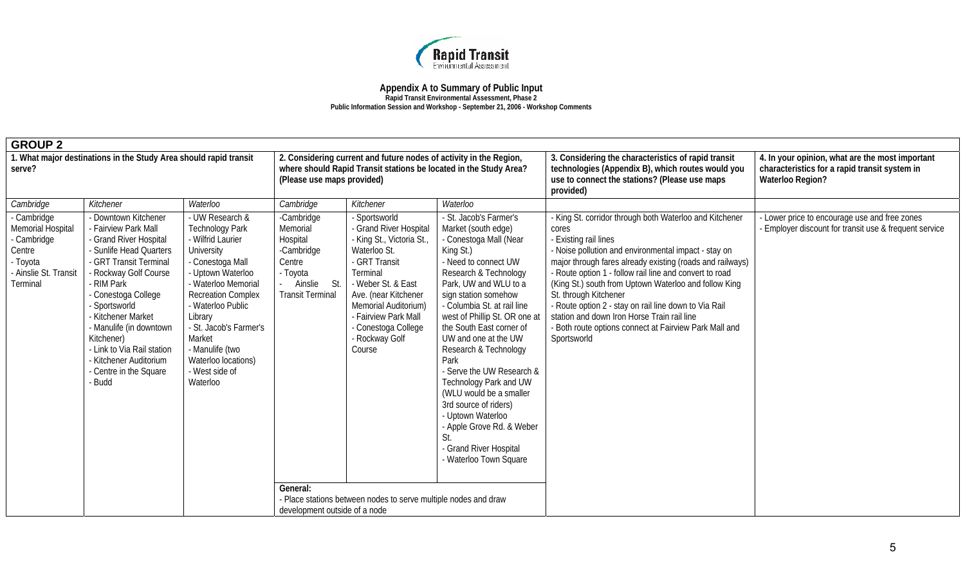

| <b>GROUP 2</b>                                                                                                    |                                                                                                                                                                                                                                                                                                                                                                 |                                                                                                                                                                                                                                                                                                                       |                                                                                                                       |                                                                                                                                                                                                                                                                   |                                                                                                                                                                                                                                                                                                                                                                                                                                                                                                                                                            |                                                                                                                                                                                                                                                                                                                                                                                                                                                                                                                                              |                                                                                                                             |
|-------------------------------------------------------------------------------------------------------------------|-----------------------------------------------------------------------------------------------------------------------------------------------------------------------------------------------------------------------------------------------------------------------------------------------------------------------------------------------------------------|-----------------------------------------------------------------------------------------------------------------------------------------------------------------------------------------------------------------------------------------------------------------------------------------------------------------------|-----------------------------------------------------------------------------------------------------------------------|-------------------------------------------------------------------------------------------------------------------------------------------------------------------------------------------------------------------------------------------------------------------|------------------------------------------------------------------------------------------------------------------------------------------------------------------------------------------------------------------------------------------------------------------------------------------------------------------------------------------------------------------------------------------------------------------------------------------------------------------------------------------------------------------------------------------------------------|----------------------------------------------------------------------------------------------------------------------------------------------------------------------------------------------------------------------------------------------------------------------------------------------------------------------------------------------------------------------------------------------------------------------------------------------------------------------------------------------------------------------------------------------|-----------------------------------------------------------------------------------------------------------------------------|
| 1. What major destinations in the Study Area should rapid transit<br>serve?                                       |                                                                                                                                                                                                                                                                                                                                                                 |                                                                                                                                                                                                                                                                                                                       | (Please use maps provided)                                                                                            | 2. Considering current and future nodes of activity in the Region,<br>where should Rapid Transit stations be located in the Study Area?                                                                                                                           |                                                                                                                                                                                                                                                                                                                                                                                                                                                                                                                                                            | 3. Considering the characteristics of rapid transit<br>technologies (Appendix B), which routes would you<br>use to connect the stations? (Please use maps<br>provided)                                                                                                                                                                                                                                                                                                                                                                       | 4. In your opinion, what are the most important<br>characteristics for a rapid transit system in<br><b>Waterloo Region?</b> |
| Cambridge                                                                                                         | Kitchener                                                                                                                                                                                                                                                                                                                                                       | Waterloo                                                                                                                                                                                                                                                                                                              | Cambridge                                                                                                             | Kitchener                                                                                                                                                                                                                                                         | Waterloo                                                                                                                                                                                                                                                                                                                                                                                                                                                                                                                                                   |                                                                                                                                                                                                                                                                                                                                                                                                                                                                                                                                              |                                                                                                                             |
| - Cambridge<br><b>Memorial Hospital</b><br>- Cambridge<br>Centre<br>- Toyota<br>- Ainslie St. Transit<br>Terminal | - Downtown Kitchener<br>Fairview Park Mall<br>Grand River Hospital<br>- Sunlife Head Quarters<br>- GRT Transit Terminal<br>Rockway Golf Course<br><b>RIM Park</b><br>Conestoga College<br>Sportsworld<br>Kitchener Market<br>- Manulife (in downtown<br>Kitchener)<br>- Link to Via Rail station<br>Kitchener Auditorium<br>Centre in the Square<br><b>Budd</b> | - UW Research &<br><b>Technology Park</b><br>- Wilfrid Laurier<br>University<br>- Conestoga Mall<br>- Uptown Waterloo<br>- Waterloo Memorial<br><b>Recreation Complex</b><br>- Waterloo Public<br>Library<br>- St. Jacob's Farmer's<br>Market<br>- Manulife (two<br>Waterloo locations)<br>- West side of<br>Waterloo | -Cambridge<br>Memorial<br>Hospital<br>-Cambridge<br>Centre<br>- Toyota<br>- Ainslie<br>St.<br><b>Transit Terminal</b> | - Sportsworld<br>- Grand River Hospital<br>- King St., Victoria St.<br>Waterloo St.<br>- GRT Transit<br>Terminal<br>- Weber St. & East<br>Ave. (near Kitchener<br>Memorial Auditorium)<br>- Fairview Park Mall<br>- Conestoga College<br>- Rockway Golf<br>Course | - St. Jacob's Farmer's<br>Market (south edge)<br>- Conestoga Mall (Near<br>King St.)<br>- Need to connect UW<br>Research & Technology<br>Park, UW and WLU to a<br>sign station somehow<br>- Columbia St. at rail line<br>west of Phillip St. OR one at<br>the South East corner of<br>UW and one at the UW<br>Research & Technology<br>Park<br>Serve the UW Research &<br>Technology Park and UW<br>(WLU would be a smaller<br>3rd source of riders)<br>- Uptown Waterloo<br>- Apple Grove Rd. & Weber<br>- Grand River Hospital<br>- Waterloo Town Square | - King St. corridor through both Waterloo and Kitchener<br>cores<br>- Existing rail lines<br>- Noise pollution and environmental impact - stay on<br>major through fares already existing (roads and railways)<br>- Route option 1 - follow rail line and convert to road<br>(King St.) south from Uptown Waterloo and follow King<br>St. through Kitchener<br>- Route option 2 - stay on rail line down to Via Rail<br>station and down Iron Horse Train rail line<br>- Both route options connect at Fairview Park Mall and<br>Sportsworld | Lower price to encourage use and free zones<br>Employer discount for transit use & frequent service                         |
|                                                                                                                   |                                                                                                                                                                                                                                                                                                                                                                 |                                                                                                                                                                                                                                                                                                                       | General:<br>development outside of a node                                                                             | - Place stations between nodes to serve multiple nodes and draw                                                                                                                                                                                                   |                                                                                                                                                                                                                                                                                                                                                                                                                                                                                                                                                            |                                                                                                                                                                                                                                                                                                                                                                                                                                                                                                                                              |                                                                                                                             |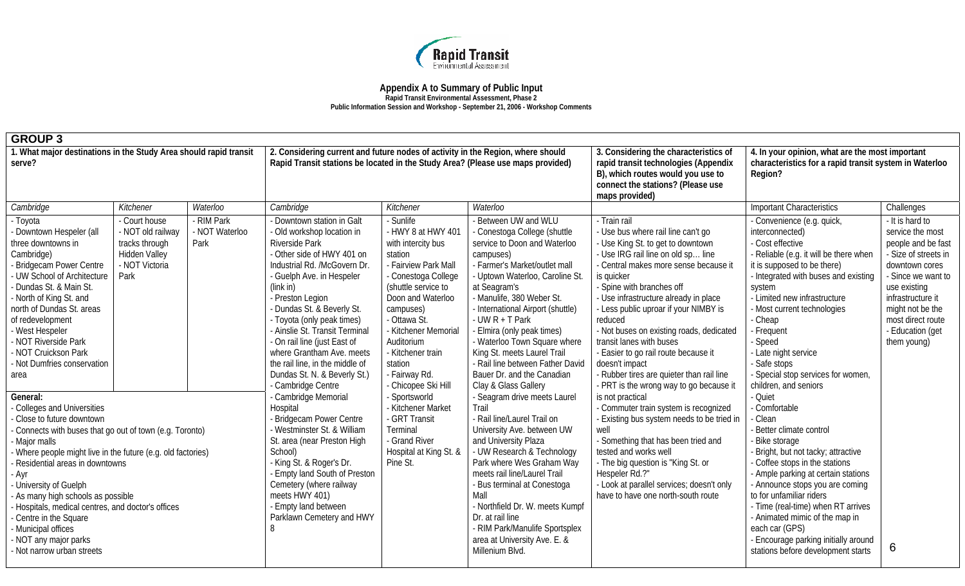

**Rapid Transit Environmental Assessment, Phase 2** 

|  |  |  | Public Information Session and Workshop - September 21, 2006 - Workshop Comments |  |  |  |  |  |  |  |  |  |  |  |  |  |  |  |  |  |  |  |  |  |  |  |
|--|--|--|----------------------------------------------------------------------------------|--|--|--|--|--|--|--|--|--|--|--|--|--|--|--|--|--|--|--|--|--|--|--|
|--|--|--|----------------------------------------------------------------------------------|--|--|--|--|--|--|--|--|--|--|--|--|--|--|--|--|--|--|--|--|--|--|--|

| <b>GROUP 3</b>                                                                                                                                                                                                                                                                                                                                                                                                                                                                  |                                                                                                        |                                                                                                                                                                                                                                                                                              |                                                                                                                                                                                                                                                                                                                                                                                                                                                              |                                                                                                                                                                                                                                                                                                                                                                                                          |                                                                                                                                                                                                                                                                                                                                                                                                                                                                     |                                                                                                                                                                                                                                                                                                                                                                                                                                                                                                                                    |                                                                                                                                                                                                                                                                                                                                                                                                                   |                                                                                                                                                                                                                                            |  |
|---------------------------------------------------------------------------------------------------------------------------------------------------------------------------------------------------------------------------------------------------------------------------------------------------------------------------------------------------------------------------------------------------------------------------------------------------------------------------------|--------------------------------------------------------------------------------------------------------|----------------------------------------------------------------------------------------------------------------------------------------------------------------------------------------------------------------------------------------------------------------------------------------------|--------------------------------------------------------------------------------------------------------------------------------------------------------------------------------------------------------------------------------------------------------------------------------------------------------------------------------------------------------------------------------------------------------------------------------------------------------------|----------------------------------------------------------------------------------------------------------------------------------------------------------------------------------------------------------------------------------------------------------------------------------------------------------------------------------------------------------------------------------------------------------|---------------------------------------------------------------------------------------------------------------------------------------------------------------------------------------------------------------------------------------------------------------------------------------------------------------------------------------------------------------------------------------------------------------------------------------------------------------------|------------------------------------------------------------------------------------------------------------------------------------------------------------------------------------------------------------------------------------------------------------------------------------------------------------------------------------------------------------------------------------------------------------------------------------------------------------------------------------------------------------------------------------|-------------------------------------------------------------------------------------------------------------------------------------------------------------------------------------------------------------------------------------------------------------------------------------------------------------------------------------------------------------------------------------------------------------------|--------------------------------------------------------------------------------------------------------------------------------------------------------------------------------------------------------------------------------------------|--|
| 1. What major destinations in the Study Area should rapid transit<br>serve?                                                                                                                                                                                                                                                                                                                                                                                                     |                                                                                                        |                                                                                                                                                                                                                                                                                              | 2. Considering current and future nodes of activity in the Region, where should<br>Rapid Transit stations be located in the Study Area? (Please use maps provided)                                                                                                                                                                                                                                                                                           |                                                                                                                                                                                                                                                                                                                                                                                                          |                                                                                                                                                                                                                                                                                                                                                                                                                                                                     | 3. Considering the characteristics of<br>rapid transit technologies (Appendix<br>B), which routes would you use to<br>connect the stations? (Please use<br>maps provided)                                                                                                                                                                                                                                                                                                                                                          | 4. In your opinion, what are the most important<br>characteristics for a rapid transit system in Waterloo<br>Region?                                                                                                                                                                                                                                                                                              |                                                                                                                                                                                                                                            |  |
| Cambridge                                                                                                                                                                                                                                                                                                                                                                                                                                                                       | Kitchener                                                                                              | Waterloo                                                                                                                                                                                                                                                                                     | Cambridge                                                                                                                                                                                                                                                                                                                                                                                                                                                    | Kitchener                                                                                                                                                                                                                                                                                                                                                                                                | Waterloo                                                                                                                                                                                                                                                                                                                                                                                                                                                            |                                                                                                                                                                                                                                                                                                                                                                                                                                                                                                                                    | <b>Important Characteristics</b>                                                                                                                                                                                                                                                                                                                                                                                  | Challenges                                                                                                                                                                                                                                 |  |
| - Toyota<br>- Downtown Hespeler (all<br>three downtowns in<br>Cambridge)<br>- Bridgecam Power Centre<br>UW School of Architecture<br>- Dundas St. & Main St.<br>- North of King St. and<br>north of Dundas St. areas<br>of redevelopment<br>- West Hespeler<br>- NOT Riverside Park<br>- NOT Cruickson Park<br>- Not Dumfries conservation<br>area                                                                                                                              | - Court house<br>- NOT old railway<br>tracks through<br><b>Hidden Valley</b><br>- NOT Victoria<br>Park | - RIM Park<br>- NOT Waterloo<br>Park                                                                                                                                                                                                                                                         | - Downtown station in Galt<br>- Old workshop location in<br>Riverside Park<br>- Other side of HWY 401 on<br>Industrial Rd. /McGovern Dr.<br>- Guelph Ave. in Hespeler<br>$(link$ in)<br>- Preston Legion<br>- Dundas St. & Beverly St.<br>- Toyota (only peak times)<br>- Ainslie St. Transit Terminal<br>- On rail line (just East of<br>where Grantham Ave. meets<br>the rail line, in the middle of<br>Dundas St. N. & Beverly St.)<br>- Cambridge Centre | - Sunlife<br>- HWY 8 at HWY 401<br>with intercity bus<br>station<br>- Fairview Park Mall<br>- Conestoga College<br>(shuttle service to<br>Doon and Waterloo<br>campuses)<br>- Ottawa St.<br>- Kitchener Memorial<br>Auditorium<br>- Kitchener train<br>station<br>- Fairway Rd.<br>- Chicopee Ski Hill                                                                                                   | - Between UW and WLU<br>- Conestoga College (shuttle<br>service to Doon and Waterloo<br>campuses)<br>- Farmer's Market/outlet mall<br>- Uptown Waterloo, Caroline St.<br>at Seagram's<br>- Manulife, 380 Weber St.<br>- International Airport (shuttle)<br>- UW $R$ + T Park<br>- Elmira (only peak times)<br>- Waterloo Town Square where<br>King St. meets Laurel Trail<br>- Rail line between Father David<br>Bauer Dr. and the Canadian<br>Clay & Glass Gallery | Train rail<br>- Use bus where rail line can't go<br>- Use King St. to get to downtown<br>- Use IRG rail line on old sp line<br>- Central makes more sense because it<br>is quicker<br>Spine with branches off<br>- Use infrastructure already in place<br>- Less public uproar if your NIMBY is<br>reduced<br>- Not buses on existing roads, dedicated<br>transit lanes with buses<br>- Easier to go rail route because it<br>doesn't impact<br>Rubber tires are quieter than rail line<br>- PRT is the wrong way to go because it | - Convenience (e.g. quick,<br>interconnected)<br>- Cost effective<br>- Reliable (e.g. it will be there when<br>it is supposed to be there)<br>- Integrated with buses and existing<br>system<br>- Limited new infrastructure<br>- Most current technologies<br>- Cheap<br>- Frequent<br>- Speed<br>- Late night service<br>- Safe stops<br>- Special stop services for women,<br>children, and seniors<br>- Quiet | - It is hard to<br>service the most<br>people and be fast<br>- Size of streets in<br>downtown cores<br>- Since we want to<br>use existing<br>infrastructure it<br>might not be the<br>most direct route<br>- Education (get<br>them young) |  |
| General:<br>- Colleges and Universities<br>- Close to future downtown<br>Connects with buses that go out of town (e.g. Toronto)<br>Major malls<br>Where people might live in the future (e.g. old factories)<br>Residential areas in downtowns<br>· Ayr<br>University of Guelph<br>- As many high schools as possible<br>Hospitals, medical centres, and doctor's offices<br>- Centre in the Square<br>- Municipal offices<br>NOT any major parks<br>- Not narrow urban streets |                                                                                                        | Cambridge Memorial<br>Hospital<br>Bridgecam Power Centre<br>- Westminster St. & William<br>St. area (near Preston High<br>School)<br>King St. & Roger's Dr.<br>Empty land South of Preston<br>Cemetery (where railway<br>meets HWY 401)<br>- Empty land between<br>Parklawn Cemetery and HWY | - Sportsworld<br>- Kitchener Market<br>- GRT Transit<br>Terminal<br>- Grand River<br>Hospital at King St. &<br>Pine St.                                                                                                                                                                                                                                                                                                                                      | - Seagram drive meets Laurel<br>Trail<br>- Rail line/Laurel Trail on<br>University Ave. between UW<br>and University Plaza<br>- UW Research & Technology<br>Park where Wes Graham Way<br>meets rail line/Laurel Trail<br>- Bus terminal at Conestoga<br>Mall<br>- Northfield Dr. W. meets Kumpf<br>Dr. at rail line<br>- RIM Park/Manulife Sportsplex<br>area at University Ave. E. &<br>Millenium Blvd. | is not practical<br>- Commuter train system is recognized<br>- Existing bus system needs to be tried in<br>well<br>- Something that has been tried and<br>tested and works well<br>- The big question is "King St. or<br>Hespeler Rd.?"<br>- Look at parallel services; doesn't only<br>have to have one north-south route                                                                                                                                          | - Comfortable<br>- Clean<br>- Better climate control<br>Bike storage<br>Bright, but not tacky; attractive<br>Coffee stops in the stations<br>- Ample parking at certain stations<br>- Announce stops you are coming<br>to for unfamiliar riders<br>- Time (real-time) when RT arrives<br>- Animated mimic of the map in<br>each car (GPS)<br>- Encourage parking initially around<br>stations before development starts                                                                                                            | 6                                                                                                                                                                                                                                                                                                                                                                                                                 |                                                                                                                                                                                                                                            |  |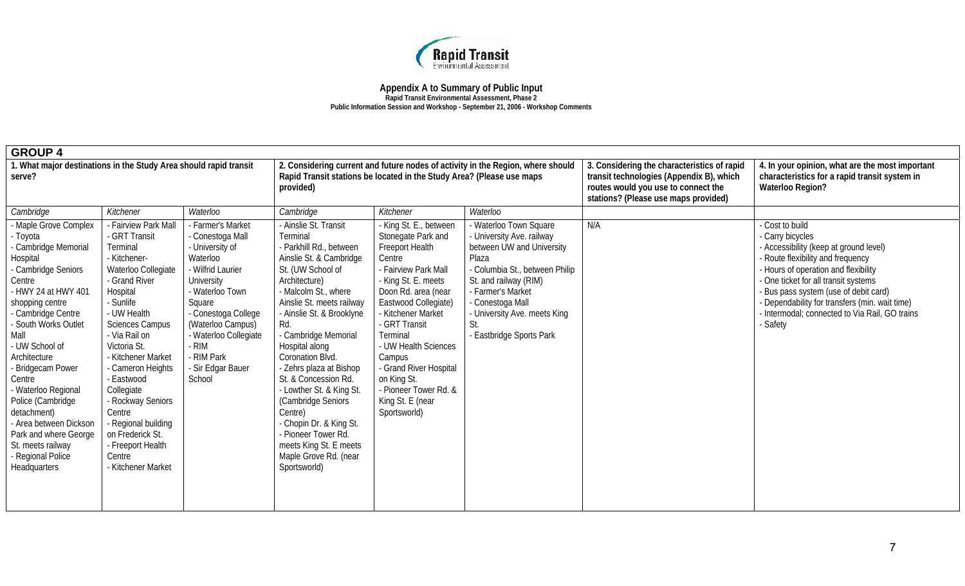

#### **Appendix A to Summary of Public Input Rapid Transit Environmental Assessment, Phase 2**

**Public Information Session and Workshop - September 21, 2006 - Workshop Comments** 

| <b>GROUP 4</b>                                                                                                                                                                                                                                                                                                                                                                                                                              |                                                                                                                                                                                                                                                                                                                                                                                                                    |                                                                                                                                                                                                                                                                  |                                                                                                                                                                                                                                                                                                                                                                                                                                                                                                                           |                                                                                                                                                                                                                                                                                                                                                                    |                                                                                                                                                                                                                                                                  |                                                                                                                                                                        |                                                                                                                                                                                                                                                                                                                                               |
|---------------------------------------------------------------------------------------------------------------------------------------------------------------------------------------------------------------------------------------------------------------------------------------------------------------------------------------------------------------------------------------------------------------------------------------------|--------------------------------------------------------------------------------------------------------------------------------------------------------------------------------------------------------------------------------------------------------------------------------------------------------------------------------------------------------------------------------------------------------------------|------------------------------------------------------------------------------------------------------------------------------------------------------------------------------------------------------------------------------------------------------------------|---------------------------------------------------------------------------------------------------------------------------------------------------------------------------------------------------------------------------------------------------------------------------------------------------------------------------------------------------------------------------------------------------------------------------------------------------------------------------------------------------------------------------|--------------------------------------------------------------------------------------------------------------------------------------------------------------------------------------------------------------------------------------------------------------------------------------------------------------------------------------------------------------------|------------------------------------------------------------------------------------------------------------------------------------------------------------------------------------------------------------------------------------------------------------------|------------------------------------------------------------------------------------------------------------------------------------------------------------------------|-----------------------------------------------------------------------------------------------------------------------------------------------------------------------------------------------------------------------------------------------------------------------------------------------------------------------------------------------|
| 1. What major destinations in the Study Area should rapid transit<br>serve?                                                                                                                                                                                                                                                                                                                                                                 |                                                                                                                                                                                                                                                                                                                                                                                                                    |                                                                                                                                                                                                                                                                  | Rapid Transit stations be located in the Study Area? (Please use maps<br>provided)                                                                                                                                                                                                                                                                                                                                                                                                                                        |                                                                                                                                                                                                                                                                                                                                                                    | 2. Considering current and future nodes of activity in the Region, where should                                                                                                                                                                                  | 3. Considering the characteristics of rapid<br>transit technologies (Appendix B), which<br>routes would you use to connect the<br>stations? (Please use maps provided) | 4. In your opinion, what are the most important<br>characteristics for a rapid transit system in<br><b>Waterloo Region?</b>                                                                                                                                                                                                                   |
| Cambridge                                                                                                                                                                                                                                                                                                                                                                                                                                   | Kitchener                                                                                                                                                                                                                                                                                                                                                                                                          | Waterloo                                                                                                                                                                                                                                                         | Cambridge                                                                                                                                                                                                                                                                                                                                                                                                                                                                                                                 | Kitchener                                                                                                                                                                                                                                                                                                                                                          | Waterloo                                                                                                                                                                                                                                                         |                                                                                                                                                                        |                                                                                                                                                                                                                                                                                                                                               |
| - Maple Grove Complex<br>- Toyota<br>- Cambridge Memorial<br>Hospital<br>- Cambridge Seniors<br>Centre<br>- HWY 24 at HWY 401<br>shopping centre<br>- Cambridge Centre<br>- South Works Outlet<br>Mall<br>- UW School of<br>Architecture<br>Bridgecam Power<br>Centre<br>- Waterloo Regional<br>Police (Cambridge<br>detachment)<br>- Area between Dickson<br>Park and where George<br>St. meets railway<br>Regional Police<br>Headquarters | - Fairview Park Mall<br>- GRT Transit<br>Terminal<br>- Kitchener-<br>Waterloo Collegiate<br>- Grand River<br>Hospital<br>- Sunlife<br>- UW Health<br><b>Sciences Campus</b><br>- Via Rail on<br>Victoria St.<br>- Kitchener Market<br>- Cameron Heights<br>- Eastwood<br>Collegiate<br>- Rockway Seniors<br>Centre<br>- Regional building<br>on Frederick St.<br>- Freeport Health<br>Centre<br>- Kitchener Market | Farmer's Market<br>- Conestoga Mall<br>University of<br>Waterloo<br>- Wilfrid Laurier<br>University<br>- Waterloo Town<br>Square<br>- Conestoga College<br>(Waterloo Campus)<br>- Waterloo Collegiate<br>· RIM<br><b>RIM Park</b><br>- Sir Edgar Bauer<br>School | - Ainslie St. Transit<br>Terminal<br>- Parkhill Rd., between<br>Ainslie St. & Cambridge<br>St. (UW School of<br>Architecture)<br>- Malcolm St., where<br>Ainslie St. meets railway<br>- Ainslie St. & Brooklyne<br>Rd.<br>- Cambridge Memorial<br>Hospital along<br>Coronation Blvd.<br>- Zehrs plaza at Bishop<br>St. & Concession Rd.<br>- Lowther St. & King St.<br>(Cambridge Seniors<br>Centre)<br>- Chopin Dr. & King St.<br>- Pioneer Tower Rd.<br>meets King St. E meets<br>Maple Grove Rd. (near<br>Sportsworld) | - King St. E., between<br>Stonegate Park and<br>Freeport Health<br>Centre<br>- Fairview Park Mall<br>- King St. E. meets<br>Doon Rd. area (near<br>Eastwood Collegiate)<br>- Kitchener Market<br>- GRT Transit<br>Terminal<br>- UW Health Sciences<br>Campus<br>- Grand River Hospital<br>on King St.<br>- Pioneer Tower Rd. &<br>King St. E (near<br>Sportsworld) | - Waterloo Town Square<br>- University Ave. railway<br>between UW and University<br>Plaza<br>- Columbia St., between Philip<br>St. and railway (RIM)<br>- Farmer's Market<br>- Conestoga Mall<br>- University Ave. meets King<br>St.<br>- Eastbridge Sports Park | N/A                                                                                                                                                                    | Cost to build<br>Carry bicycles<br>Accessibility (keep at ground level)<br>Route flexibility and frequency<br>- Hours of operation and flexibility<br>- One ticket for all transit systems<br>Bus pass system (use of debit card)<br>Dependability for transfers (min. wait time)<br>Intermodal; connected to Via Rail, GO trains<br>- Safety |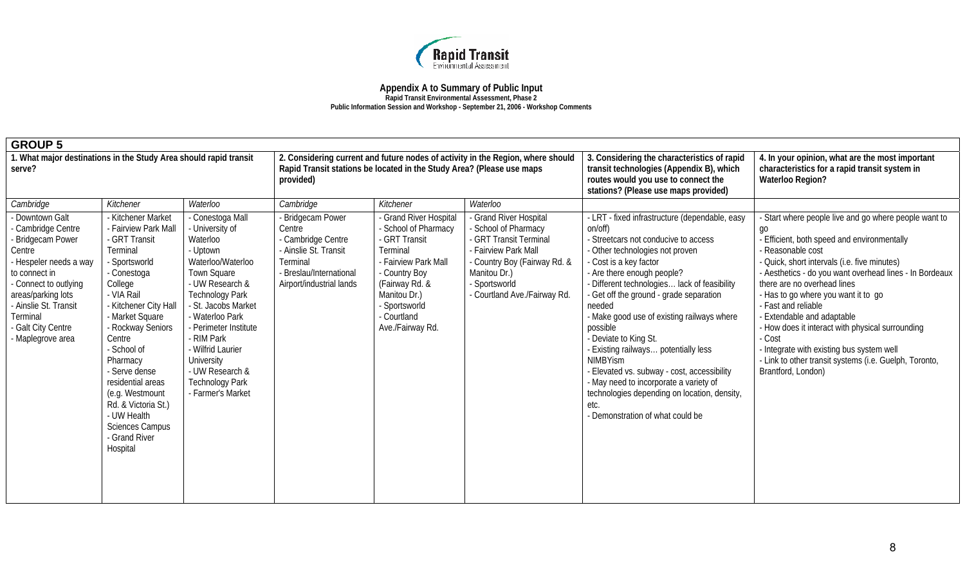

| <b>GROUP 5</b>                                                                                                                                                                                                                             |                                                                                                                                                                                                                                                                                                                                                                                              |                                                                                                                                                                                                                                                                                                                                    |                                                                                                                                               |                                                                                                                                                                                                            |                                                                                                                                                                                               |                                                                                                                                                                                                                                                                                                                                                                                                                                                                                                                                                                                                                                      |                                                                                                                                                                                                                                                                                                                                                                                                                                                                                                                                                                |
|--------------------------------------------------------------------------------------------------------------------------------------------------------------------------------------------------------------------------------------------|----------------------------------------------------------------------------------------------------------------------------------------------------------------------------------------------------------------------------------------------------------------------------------------------------------------------------------------------------------------------------------------------|------------------------------------------------------------------------------------------------------------------------------------------------------------------------------------------------------------------------------------------------------------------------------------------------------------------------------------|-----------------------------------------------------------------------------------------------------------------------------------------------|------------------------------------------------------------------------------------------------------------------------------------------------------------------------------------------------------------|-----------------------------------------------------------------------------------------------------------------------------------------------------------------------------------------------|--------------------------------------------------------------------------------------------------------------------------------------------------------------------------------------------------------------------------------------------------------------------------------------------------------------------------------------------------------------------------------------------------------------------------------------------------------------------------------------------------------------------------------------------------------------------------------------------------------------------------------------|----------------------------------------------------------------------------------------------------------------------------------------------------------------------------------------------------------------------------------------------------------------------------------------------------------------------------------------------------------------------------------------------------------------------------------------------------------------------------------------------------------------------------------------------------------------|
| 1. What major destinations in the Study Area should rapid transit<br>serve?                                                                                                                                                                |                                                                                                                                                                                                                                                                                                                                                                                              |                                                                                                                                                                                                                                                                                                                                    | Rapid Transit stations be located in the Study Area? (Please use maps<br>provided)                                                            |                                                                                                                                                                                                            | 2. Considering current and future nodes of activity in the Region, where should                                                                                                               | 3. Considering the characteristics of rapid<br>transit technologies (Appendix B), which<br>routes would you use to connect the<br>stations? (Please use maps provided)                                                                                                                                                                                                                                                                                                                                                                                                                                                               | 4. In your opinion, what are the most important<br>characteristics for a rapid transit system in<br>Waterloo Region?                                                                                                                                                                                                                                                                                                                                                                                                                                           |
| Cambridge                                                                                                                                                                                                                                  | Kitchener                                                                                                                                                                                                                                                                                                                                                                                    | Waterloo                                                                                                                                                                                                                                                                                                                           | Cambridge                                                                                                                                     | Kitchener                                                                                                                                                                                                  | Waterloo                                                                                                                                                                                      |                                                                                                                                                                                                                                                                                                                                                                                                                                                                                                                                                                                                                                      |                                                                                                                                                                                                                                                                                                                                                                                                                                                                                                                                                                |
| - Downtown Galt<br>- Cambridge Centre<br>Bridgecam Power<br>Centre<br>- Hespeler needs a way<br>to connect in<br>- Connect to outlying<br>areas/parking lots<br>- Ainslie St. Transit<br>Terminal<br>- Galt City Centre<br>Maplegrove area | - Kitchener Market<br>- Fairview Park Mall<br>- GRT Transit<br>Terminal<br>- Sportsworld<br>- Conestoga<br>College<br>- VIA Rail<br>- Kitchener City Hall<br>- Market Square<br>- Rockway Seniors<br>Centre<br>- School of<br>Pharmacy<br>- Serve dense<br>residential areas<br>(e.g. Westmount<br>Rd. & Victoria St.)<br>- UW Health<br><b>Sciences Campus</b><br>- Grand River<br>Hospital | - Conestoga Mall<br>- University of<br>Waterloo<br>- Uptown<br>Waterloo/Waterloo<br>Town Square<br>- UW Research &<br><b>Technology Park</b><br>- St. Jacobs Market<br>- Waterloo Park<br>- Perimeter Institute<br>- RIM Park<br>- Wilfrid Laurier<br>University<br>- UW Research &<br><b>Technology Park</b><br>- Farmer's Market | - Bridgecam Power<br>Centre<br>- Cambridge Centre<br>- Ainslie St. Transit<br>Terminal<br>- Breslau/International<br>Airport/industrial lands | - Grand River Hospital<br>- School of Pharmacy<br>- GRT Transit<br>Terminal<br>- Fairview Park Mall<br>- Country Boy<br>(Fairway Rd. &<br>Manitou Dr.)<br>- Sportsworld<br>- Courtland<br>Ave./Fairway Rd. | Grand River Hospital<br>- School of Pharmacy<br>- GRT Transit Terminal<br>Fairview Park Mall<br>- Country Boy (Fairway Rd. &<br>Manitou Dr.)<br>- Sportsworld<br>- Courtland Ave./Fairway Rd. | - LRT - fixed infrastructure (dependable, easy<br>on/off)<br>- Streetcars not conducive to access<br>- Other technologies not proven<br>- Cost is a key factor<br>- Are there enough people?<br>- Different technologies lack of feasibility<br>- Get off the ground - grade separation<br>needed<br>- Make good use of existing railways where<br>possible<br>- Deviate to King St.<br>- Existing railways potentially less<br><b>NIMBYism</b><br>- Elevated vs. subway - cost, accessibility<br>- May need to incorporate a variety of<br>technologies depending on location, density,<br>etc.<br>- Demonstration of what could be | Start where people live and go where people want to<br>qo<br>- Efficient, both speed and environmentally<br>- Reasonable cost<br>- Quick, short intervals (i.e. five minutes)<br>- Aesthetics - do you want overhead lines - In Bordeaux<br>there are no overhead lines<br>- Has to go where you want it to go<br>- Fast and reliable<br>- Extendable and adaptable<br>- How does it interact with physical surrounding<br>- Cost<br>- Integrate with existing bus system well<br>- Link to other transit systems (i.e. Guelph, Toronto,<br>Brantford, London) |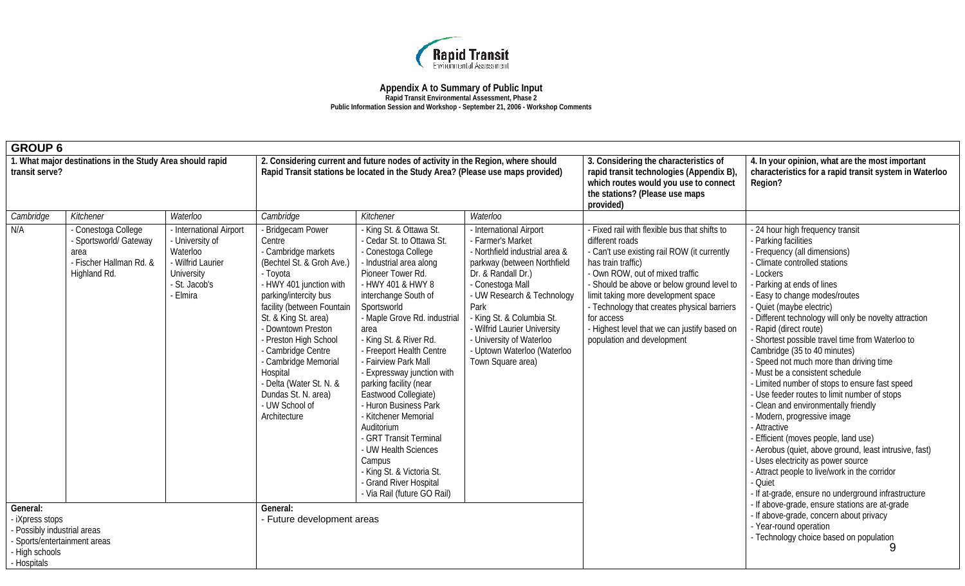

| <b>GROUP 6</b>                                                                                                              |                                                                                                  |                                                                                                                        |                                                                                                                                                                                                                                                                                                                                                                                                    |                                                                                                                                                                                                                                                                                                                                                                                                                                                                                                                                                                                                                |                                                                                                                                                                                                                                                                                                                                          |                                                                                                                                                                                                                                                                                                                                                                                                          |                                                                                                                                                                                                                                                                                                                                                                                                                                                                                                                                                                                                                                                                                                                                                                                                                                                                                                                       |  |
|-----------------------------------------------------------------------------------------------------------------------------|--------------------------------------------------------------------------------------------------|------------------------------------------------------------------------------------------------------------------------|----------------------------------------------------------------------------------------------------------------------------------------------------------------------------------------------------------------------------------------------------------------------------------------------------------------------------------------------------------------------------------------------------|----------------------------------------------------------------------------------------------------------------------------------------------------------------------------------------------------------------------------------------------------------------------------------------------------------------------------------------------------------------------------------------------------------------------------------------------------------------------------------------------------------------------------------------------------------------------------------------------------------------|------------------------------------------------------------------------------------------------------------------------------------------------------------------------------------------------------------------------------------------------------------------------------------------------------------------------------------------|----------------------------------------------------------------------------------------------------------------------------------------------------------------------------------------------------------------------------------------------------------------------------------------------------------------------------------------------------------------------------------------------------------|-----------------------------------------------------------------------------------------------------------------------------------------------------------------------------------------------------------------------------------------------------------------------------------------------------------------------------------------------------------------------------------------------------------------------------------------------------------------------------------------------------------------------------------------------------------------------------------------------------------------------------------------------------------------------------------------------------------------------------------------------------------------------------------------------------------------------------------------------------------------------------------------------------------------------|--|
| 1. What major destinations in the Study Area should rapid<br>transit serve?                                                 |                                                                                                  |                                                                                                                        |                                                                                                                                                                                                                                                                                                                                                                                                    | 2. Considering current and future nodes of activity in the Region, where should<br>Rapid Transit stations be located in the Study Area? (Please use maps provided)                                                                                                                                                                                                                                                                                                                                                                                                                                             |                                                                                                                                                                                                                                                                                                                                          | 3. Considering the characteristics of<br>rapid transit technologies (Appendix B),<br>which routes would you use to connect<br>the stations? (Please use maps<br>provided)                                                                                                                                                                                                                                | 4. In your opinion, what are the most important<br>characteristics for a rapid transit system in Waterloo<br>Region?                                                                                                                                                                                                                                                                                                                                                                                                                                                                                                                                                                                                                                                                                                                                                                                                  |  |
| Cambridge                                                                                                                   | Kitchener                                                                                        | Waterloo                                                                                                               | Cambridge                                                                                                                                                                                                                                                                                                                                                                                          | Kitchener                                                                                                                                                                                                                                                                                                                                                                                                                                                                                                                                                                                                      | Waterloo                                                                                                                                                                                                                                                                                                                                 |                                                                                                                                                                                                                                                                                                                                                                                                          |                                                                                                                                                                                                                                                                                                                                                                                                                                                                                                                                                                                                                                                                                                                                                                                                                                                                                                                       |  |
| N/A                                                                                                                         | - Conestoga College<br>- Sportsworld/ Gateway<br>area<br>- Fischer Hallman Rd. &<br>Highland Rd. | - International Airport<br>- University of<br>Waterloo<br>- Wilfrid Laurier<br>University<br>- St. Jacob's<br>- Elmira | - Bridgecam Power<br>Centre<br>- Cambridge markets<br>(Bechtel St. & Groh Ave.)<br>- Toyota<br>- HWY 401 junction with<br>parking/intercity bus<br>facility (between Fountain<br>St. & King St. area)<br>- Downtown Preston<br>- Preston High School<br>- Cambridge Centre<br>- Cambridge Memorial<br>Hospital<br>- Delta (Water St. N. &<br>Dundas St. N. area)<br>- UW School of<br>Architecture | - King St. & Ottawa St.<br>- Cedar St. to Ottawa St.<br>- Conestoga College<br>- Industrial area along<br>Pioneer Tower Rd.<br>- HWY 401 & HWY 8<br>interchange South of<br>Sportsworld<br>- Maple Grove Rd. industrial<br>area<br>- King St. & River Rd.<br>- Freeport Health Centre<br>- Fairview Park Mall<br>- Expressway junction with<br>parking facility (near<br>Eastwood Collegiate)<br>- Huron Business Park<br>- Kitchener Memorial<br>Auditorium<br>- GRT Transit Terminal<br>- UW Health Sciences<br>Campus<br>- King St. & Victoria St.<br>- Grand River Hospital<br>- Via Rail (future GO Rail) | - International Airport<br>- Farmer's Market<br>- Northfield industrial area &<br>parkway (between Northfield<br>Dr. & Randall Dr.)<br>- Conestoga Mall<br>- UW Research & Technology<br>Park<br>King St. & Columbia St.<br>- Wilfrid Laurier University<br>- University of Waterloo<br>- Uptown Waterloo (Waterloo<br>Town Square area) | - Fixed rail with flexible bus that shifts to<br>different roads<br>- Can't use existing rail ROW (it currently<br>has train traffic)<br>- Own ROW, out of mixed traffic<br>- Should be above or below ground level to<br>limit taking more development space<br>- Technology that creates physical barriers<br>for access<br>- Highest level that we can justify based on<br>population and development | - 24 hour high frequency transit<br>- Parking facilities<br>- Frequency (all dimensions)<br>- Climate controlled stations<br>- Lockers<br>Parking at ends of lines<br>Easy to change modes/routes<br>Quiet (maybe electric)<br>Different technology will only be novelty attraction<br>Rapid (direct route)<br>- Shortest possible travel time from Waterloo to<br>Cambridge (35 to 40 minutes)<br>- Speed not much more than driving time<br>Must be a consistent schedule<br>Limited number of stops to ensure fast speed<br>- Use feeder routes to limit number of stops<br>- Clean and environmentally friendly<br>- Modern, progressive image<br>- Attractive<br>Efficient (moves people, land use)<br>Aerobus (quiet, above ground, least intrusive, fast)<br>- Uses electricity as power source<br>Attract people to live/work in the corridor<br>- Quiet<br>If at-grade, ensure no underground infrastructure |  |
| General:<br>- iXpress stops<br>- Possibly industrial areas<br>- Sports/entertainment areas<br>- High schools<br>- Hospitals |                                                                                                  | General:<br>- Future development areas                                                                                 |                                                                                                                                                                                                                                                                                                                                                                                                    |                                                                                                                                                                                                                                                                                                                                                                                                                                                                                                                                                                                                                |                                                                                                                                                                                                                                                                                                                                          | If above-grade, ensure stations are at-grade<br>If above-grade, concern about privacy<br>- Year-round operation<br>- Technology choice based on population<br>9                                                                                                                                                                                                                                          |                                                                                                                                                                                                                                                                                                                                                                                                                                                                                                                                                                                                                                                                                                                                                                                                                                                                                                                       |  |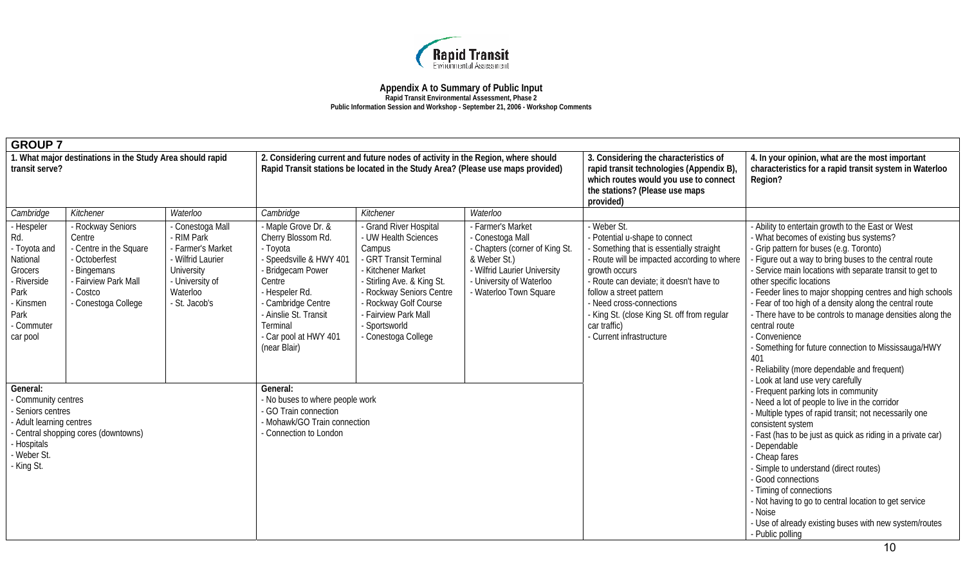

| <b>GROUP 7</b>                                                                                                                                                        |                                                                                                                                              |                                                                                                                                    |                                                                                                                                                                                                                                 |                                                                                                                                                                                                                                                             |                                                                                                                                                                             |                                                                                                                                                                                                                                                                                                                                                        |                                                                                                                                                                                                                                                                                                                                                                                                                                                                                                                                                                                                                    |  |
|-----------------------------------------------------------------------------------------------------------------------------------------------------------------------|----------------------------------------------------------------------------------------------------------------------------------------------|------------------------------------------------------------------------------------------------------------------------------------|---------------------------------------------------------------------------------------------------------------------------------------------------------------------------------------------------------------------------------|-------------------------------------------------------------------------------------------------------------------------------------------------------------------------------------------------------------------------------------------------------------|-----------------------------------------------------------------------------------------------------------------------------------------------------------------------------|--------------------------------------------------------------------------------------------------------------------------------------------------------------------------------------------------------------------------------------------------------------------------------------------------------------------------------------------------------|--------------------------------------------------------------------------------------------------------------------------------------------------------------------------------------------------------------------------------------------------------------------------------------------------------------------------------------------------------------------------------------------------------------------------------------------------------------------------------------------------------------------------------------------------------------------------------------------------------------------|--|
| 1. What major destinations in the Study Area should rapid<br>transit serve?                                                                                           |                                                                                                                                              |                                                                                                                                    |                                                                                                                                                                                                                                 | 2. Considering current and future nodes of activity in the Region, where should<br>Rapid Transit stations be located in the Study Area? (Please use maps provided)                                                                                          |                                                                                                                                                                             | 3. Considering the characteristics of<br>rapid transit technologies (Appendix B),<br>which routes would you use to connect<br>the stations? (Please use maps<br>provided)                                                                                                                                                                              | 4. In your opinion, what are the most important<br>characteristics for a rapid transit system in Waterloo<br>Region?                                                                                                                                                                                                                                                                                                                                                                                                                                                                                               |  |
| Cambridge                                                                                                                                                             | Kitchener                                                                                                                                    | Waterloo                                                                                                                           | Cambridge                                                                                                                                                                                                                       | Kitchener                                                                                                                                                                                                                                                   | Waterloo                                                                                                                                                                    |                                                                                                                                                                                                                                                                                                                                                        |                                                                                                                                                                                                                                                                                                                                                                                                                                                                                                                                                                                                                    |  |
| - Hespeler<br>Rd.<br>- Toyota and<br>National<br>Grocers<br>- Riverside<br>Park<br>- Kinsmen<br>Park<br>- Commuter<br>car pool                                        | - Rockway Seniors<br>Centre<br>- Centre in the Square<br>- Octoberfest<br>Bingemans<br>- Fairview Park Mall<br>Costco<br>- Conestoga College | Conestoga Mall<br>RIM Park<br>- Farmer's Market<br>- Wilfrid Laurier<br>University<br>- University of<br>Waterloo<br>- St. Jacob's | Maple Grove Dr. &<br>Cherry Blossom Rd.<br>- Toyota<br>- Speedsville & HWY 401<br>- Bridgecam Power<br>Centre<br>- Hespeler Rd.<br>Cambridge Centre<br>Ainslie St. Transit<br>Terminal<br>- Car pool at HWY 401<br>(near Blair) | - Grand River Hospital<br>- UW Health Sciences<br>Campus<br>- GRT Transit Terminal<br>- Kitchener Market<br>- Stirling Ave. & King St.<br>- Rockway Seniors Centre<br>- Rockway Golf Course<br>- Fairview Park Mall<br>- Sportsworld<br>- Conestoga College | - Farmer's Market<br>- Conestoga Mall<br>- Chapters (corner of King St.<br>& Weber St.)<br>- Wilfrid Laurier University<br>- University of Waterloo<br>Waterloo Town Square | - Weber St.<br>- Potential u-shape to connect<br>- Something that is essentially straight<br>- Route will be impacted according to where<br>growth occurs<br>- Route can deviate; it doesn't have to<br>follow a street pattern<br>- Need cross-connections<br>- King St. (close King St. off from regular<br>car traffic)<br>- Current infrastructure | Ability to entertain growth to the East or West<br>- What becomes of existing bus systems?<br>- Grip pattern for buses (e.g. Toronto)<br>Figure out a way to bring buses to the central route<br>Service main locations with separate transit to get to<br>other specific locations<br>- Feeder lines to major shopping centres and high schools<br>- Fear of too high of a density along the central route<br>- There have to be controls to manage densities along the<br>central route<br>- Convenience<br>- Something for future connection to Mississauga/HWY<br>- Reliability (more dependable and frequent) |  |
| General:<br>- Community centres<br>- Seniors centres<br>- Adult learning centres<br>Central shopping cores (downtowns)<br><b>Hospitals</b><br>- Weber St.<br>King St. |                                                                                                                                              |                                                                                                                                    | General:<br>- No buses to where people work<br>GO Train connection<br>Mohawk/GO Train connection<br>Connection to London                                                                                                        |                                                                                                                                                                                                                                                             |                                                                                                                                                                             |                                                                                                                                                                                                                                                                                                                                                        | - Look at land use very carefully<br>Frequent parking lots in community<br>- Need a lot of people to live in the corridor<br>- Multiple types of rapid transit; not necessarily one<br>consistent system<br>- Fast (has to be just as quick as riding in a private car)<br>- Dependable<br>Cheap fares<br>Simple to understand (direct routes)<br>- Good connections<br>- Timing of connections<br>- Not having to go to central location to get service<br>- Noise<br>- Use of already existing buses with new system/routes<br>- Public polling                                                                  |  |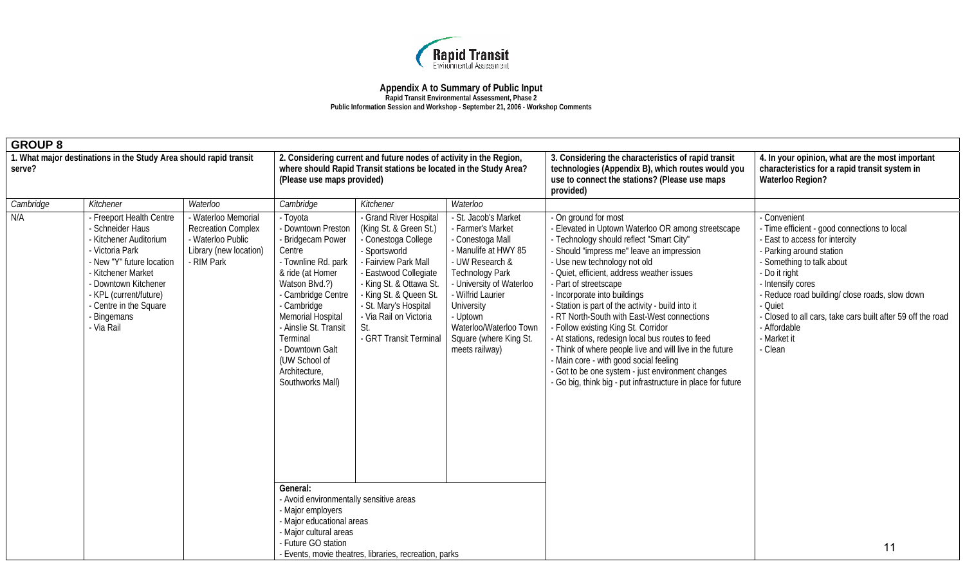

| <b>GROUP 8</b>                                                              |                                                                                                                                                                                                                                              |                                                                                                               |                                                                                                                                                                                                                                                                                                    |                                                                                                                                                                                                                                                                                     |                                                                                                                                                                                                                                                                                     |                                                                                                                                                                                                                                                                                                                                                                                                                                                                                                                                                                                                                                                                                                                              |                                                                                                                                                                                                                                                                                                                                                               |  |
|-----------------------------------------------------------------------------|----------------------------------------------------------------------------------------------------------------------------------------------------------------------------------------------------------------------------------------------|---------------------------------------------------------------------------------------------------------------|----------------------------------------------------------------------------------------------------------------------------------------------------------------------------------------------------------------------------------------------------------------------------------------------------|-------------------------------------------------------------------------------------------------------------------------------------------------------------------------------------------------------------------------------------------------------------------------------------|-------------------------------------------------------------------------------------------------------------------------------------------------------------------------------------------------------------------------------------------------------------------------------------|------------------------------------------------------------------------------------------------------------------------------------------------------------------------------------------------------------------------------------------------------------------------------------------------------------------------------------------------------------------------------------------------------------------------------------------------------------------------------------------------------------------------------------------------------------------------------------------------------------------------------------------------------------------------------------------------------------------------------|---------------------------------------------------------------------------------------------------------------------------------------------------------------------------------------------------------------------------------------------------------------------------------------------------------------------------------------------------------------|--|
| 1. What major destinations in the Study Area should rapid transit<br>serve? |                                                                                                                                                                                                                                              |                                                                                                               | (Please use maps provided)                                                                                                                                                                                                                                                                         | 2. Considering current and future nodes of activity in the Region,<br>where should Rapid Transit stations be located in the Study Area?                                                                                                                                             |                                                                                                                                                                                                                                                                                     | 3. Considering the characteristics of rapid transit<br>technologies (Appendix B), which routes would you<br>use to connect the stations? (Please use maps<br>provided)                                                                                                                                                                                                                                                                                                                                                                                                                                                                                                                                                       | 4. In your opinion, what are the most important<br>characteristics for a rapid transit system in<br>Waterloo Region?                                                                                                                                                                                                                                          |  |
| Cambridge                                                                   | Kitchener                                                                                                                                                                                                                                    | Waterloo                                                                                                      | Cambridge                                                                                                                                                                                                                                                                                          | Kitchener                                                                                                                                                                                                                                                                           | Waterloo                                                                                                                                                                                                                                                                            |                                                                                                                                                                                                                                                                                                                                                                                                                                                                                                                                                                                                                                                                                                                              |                                                                                                                                                                                                                                                                                                                                                               |  |
| N/A                                                                         | Freeport Health Centre<br><b>Schneider Haus</b><br>Kitchener Auditorium<br>Victoria Park<br>New "Y" future location<br>Kitchener Market<br>Downtown Kitchener<br>- KPL (current/future)<br>- Centre in the Square<br>Bingemans<br>- Via Rail | - Waterloo Memorial<br><b>Recreation Complex</b><br>- Waterloo Public<br>Library (new location)<br>- RIM Park | - Toyota<br>- Downtown Preston<br>- Bridgecam Power<br>Centre<br>- Townline Rd. park<br>& ride (at Homer<br>Watson Blvd.?)<br>- Cambridge Centre<br>- Cambridge<br>Memorial Hospital<br>- Ainslie St. Transit<br>Terminal<br>- Downtown Galt<br>(UW School of<br>Architecture,<br>Southworks Mall) | - Grand River Hospital<br>(King St. & Green St.)<br>- Conestoga College<br>- Sportsworld<br>Fairview Park Mall<br><b>Eastwood Collegiate</b><br>- King St. & Ottawa St.<br>King St. & Queen St.<br>- St. Mary's Hospital<br>- Via Rail on Victoria<br>St.<br>- GRT Transit Terminal | - St. Jacob's Market<br>- Farmer's Market<br>- Conestoga Mall<br>- Manulife at HWY 85<br>- UW Research &<br><b>Technology Park</b><br>- University of Waterloo<br>- Wilfrid Laurier<br>University<br>- Uptown<br>Waterloo/Waterloo Town<br>Square (where King St.<br>meets railway) | - On ground for most<br>Elevated in Uptown Waterloo OR among streetscape<br>- Technology should reflect "Smart City"<br>Should "impress me" leave an impression<br>Use new technology not old<br>- Quiet, efficient, address weather issues<br>- Part of streetscape<br>- Incorporate into buildings<br>Station is part of the activity - build into it<br>- RT North-South with East-West connections<br>- Follow existing King St. Corridor<br>- At stations, redesign local bus routes to feed<br>- Think of where people live and will live in the future<br>- Main core - with good social feeling<br>- Got to be one system - just environment changes<br>- Go big, think big - put infrastructure in place for future | Convenient<br>- Time efficient - good connections to local<br>East to access for intercity<br>Parking around station<br>- Something to talk about<br>- Do it right<br>- Intensify cores<br>- Reduce road building/ close roads, slow down<br>- Quiet<br>- Closed to all cars, take cars built after 59 off the road<br>- Affordable<br>- Market it<br>- Clean |  |
|                                                                             |                                                                                                                                                                                                                                              |                                                                                                               | General:<br>- Avoid environmentally sensitive areas<br>- Major employers<br>- Major educational areas<br>- Major cultural areas<br>- Future GO station                                                                                                                                             | - Events, movie theatres, libraries, recreation, parks                                                                                                                                                                                                                              |                                                                                                                                                                                                                                                                                     |                                                                                                                                                                                                                                                                                                                                                                                                                                                                                                                                                                                                                                                                                                                              | 11                                                                                                                                                                                                                                                                                                                                                            |  |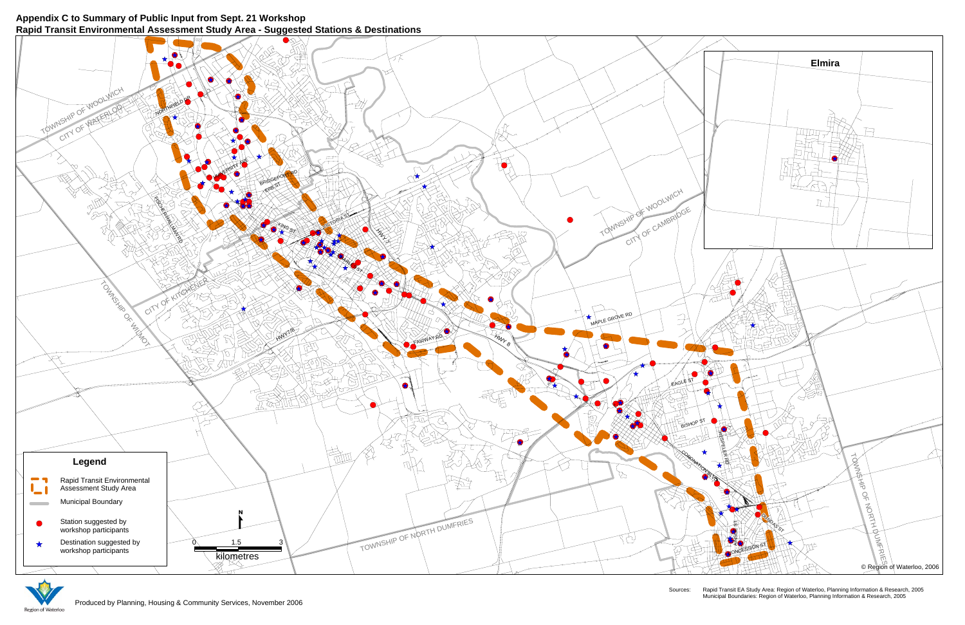Sources: Rapid Transit EA Study Area: Region of Waterloo, Planning Information & Research, 2005 Municipal Boundaries: Region of Waterloo, Planning Information & Research, 2005

## **Appendix C to Summary of Public Input from Sept. 21 Workshop Rapid Transit Environmental Assessment Study Area - Suggested Stations & Destinations**